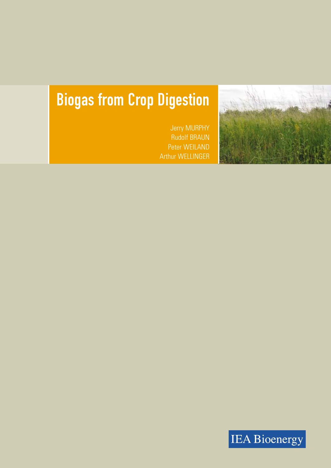

# Biogas from Crop Digestion

Jerry MURPHY Rudolf BRAUN Peter WEILAND Arthur WELLINGER

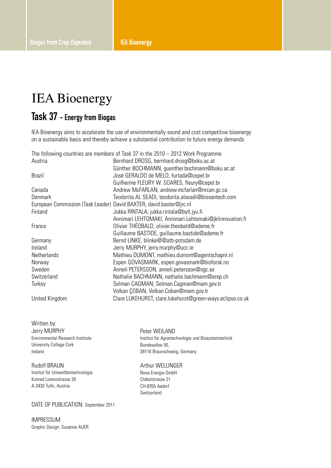### **IEA Bioenergy**

### Task 37 - Energy from Biogas

IEA Bioenergy aims to accelerate the use of environmentally sound and cost competitive bioenergy on a sustainable basis and thereby achieve a substantial contribution to future energy demands

|                                                                     | The following countries are members of Task 37 in the $2010 - 2012$ Work Programme |
|---------------------------------------------------------------------|------------------------------------------------------------------------------------|
| Austria                                                             | Bernhard DROSG, bernhard.drosg@boku.ac.at                                          |
|                                                                     | Günther BOCHMANN, guenther.bochmann@boku.ac.at                                     |
| <b>Brazil</b>                                                       | José GERALDO de MELO, furtada@cepel.br                                             |
|                                                                     | Guilherme FLEURY W. SOARES, fleury@cepel.br                                        |
| Canada                                                              | Andrew McFARLAN, andrew.mcfarlan@nrcan.gc.ca                                       |
| <b>Denmark</b>                                                      | Teodorita AL SEADI, teodorita.alseadi@biosantech.com                               |
| European Commission (Task Leader) David BAXTER, david.baxter@jrc.nl |                                                                                    |
| Finland                                                             | Jukka RINTALA, jukka.rintala@bytl.jyu.fi                                           |
|                                                                     | Annimari LEHTOMAKI, Annimari.Lehtomaki@jklinnovation.fi                            |
| France                                                              | Olivier THÉOBALD, olivier.theobald@ademe.fr                                        |
|                                                                     | Guillaume BASTIDE, guillaume.bastide@ademe.fr                                      |
| Germany                                                             | Bernd LINKE, blinke@@atb-potsdam.de                                                |
| Ireland                                                             | Jerry MURPHY, jerry.murphy@ucc.ie                                                  |
| <b>Netherlands</b>                                                  | Mathieu DUMONT, mathieu.dumont@agentschapnl.nl                                     |
| Norway                                                              | Espen GOVASMARK, espen.govasmark@bioforsk.no                                       |
| Sweden                                                              | Anneli PETERSSON, anneli petersson@sgc.se                                          |
| Switzerland                                                         | Nathalie BACHMANN, nathalie.bachmann@erep.ch                                       |
| Turkey                                                              | Selman CAGMAN; Selman.Cagman@mam.gov.tr                                            |
|                                                                     | Volkan ÇOBAN, Volkan.Coban@mam.gov.tr                                              |
| United Kingdom                                                      | Clare LUKEHURST, clare.lukehurst@green-ways.eclipse.co.uk                          |

Written by: Jerry MURPHY Environmental Research Institute University College Cork Ireland

Rudolf BRAUN Institut für Umweltbiotechnologie Konrad Lorenzstrasse 20 A-3430 Tulln, Austria

DATE OF PUBLICATION: September 2011

Impressum Graphic Design: Susanne AUER

#### Peter WEILAND Institut für Agrartechnologie und Biosystemtechnik Bundesallee 50, 38116 Braunschweig, Germany

Arthur WELLINGER Nova Energie GmbH Châtelstrasse 21 CH-8355 Aadorf Switzerland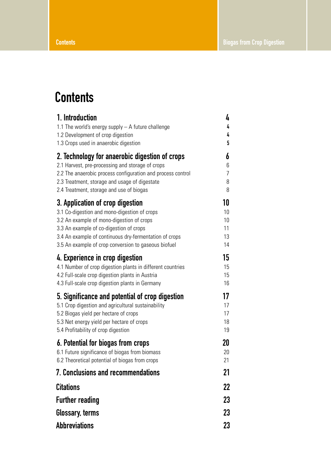## **Contents**

| 1. Introduction                                                                                                | 4              |
|----------------------------------------------------------------------------------------------------------------|----------------|
| 1.1 The world's energy supply - A future challenge                                                             | 4              |
| 1.2 Development of crop digestion                                                                              | 4              |
| 1.3 Crops used in anaerobic digestion                                                                          | 5              |
| 2. Technology for anaerobic digestion of crops                                                                 | 6              |
| 2.1 Harvest, pre-processing and storage of crops                                                               | 6              |
| 2.2 The anaerobic process configuration and process control                                                    | $\overline{7}$ |
| 2.3 Treatment, storage and usage of digestate                                                                  | 8              |
| 2.4 Treatment, storage and use of biogas                                                                       | 8              |
| 3. Application of crop digestion                                                                               | 10             |
| 3.1 Co-digestion and mono-digestion of crops                                                                   | 10             |
| 3.2 An example of mono-digestion of crops                                                                      | 10             |
| 3.3 An example of co-digestion of crops                                                                        | 11             |
| 3.4 An example of continuous dry-fermentation of crops<br>3.5 An example of crop conversion to gaseous biofuel | 13<br>14       |
|                                                                                                                |                |
| 4. Experience in crop digestion                                                                                | 15             |
| 4.1 Number of crop digestion plants in different countries                                                     | 15             |
| 4.2 Full-scale crop digestion plants in Austria<br>4.3 Full-scale crop digestion plants in Germany             | 15<br>16       |
|                                                                                                                |                |
| 5. Significance and potential of crop digestion                                                                | 17             |
| 5.1 Crop digestion and agricultural sustainability                                                             | 17             |
| 5.2 Biogas yield per hectare of crops                                                                          | 17             |
| 5.3 Net energy yield per hectare of crops<br>5.4 Profitability of crop digestion                               | 18<br>19       |
|                                                                                                                |                |
| 6. Potential for biogas from crops                                                                             | 20             |
| 6.1 Future significance of biogas from biomass                                                                 | 20<br>21       |
| 6.2 Theoretical potential of biogas from crops                                                                 |                |
| <b>7. Conclusions and recommendations</b>                                                                      | 21             |
| Citations                                                                                                      | 22             |
| <b>Further reading</b>                                                                                         | 23             |
| Glossary, terms                                                                                                | 23             |
| <b>Abbreviations</b>                                                                                           | 23             |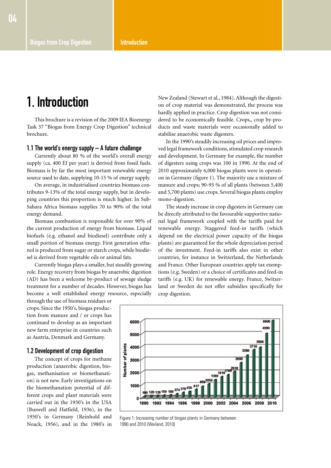### 1. Introduction

This brochure is a revision of the 2009 IEA Bioenergy Task 37 "Biogas from Energy Crop Digestion" technical brochure.

#### 1.1 The world's energy supply – A future challenge

Currently about 80 % of the world's overall energy supply (ca. 400 EJ per year) is derived from fossil fuels. Biomass is by far the most important renewable energy source used to date, supplying 10-15 % of energy supply.

On average, in industrialised countries biomass contributes 9-13% of the total energy supply, but in developing countries this proportion is much higher. In Sub-Sahara Africa biomass supplies 70 to 90% of the total energy demand.

Biomass combustion is responsible for over 90% of the current production of energy from biomass. Liquid biofuels (e.g. ethanol and biodiesel) contribute only a small portion of biomass energy. First generation ethanol is produced from sugar or starch crops, while biodiesel is derived from vegetable oils or animal fats.

Currently biogas plays a smaller, but steadily growing role. Energy recovery from biogas by anaerobic digestion (AD) has been a welcome by-product of sewage sludge treatment for a number of decades. However, biogas has become a well established energy resource, especially

through the use of biomass residues or crops. Since the 1950's, biogas production from manure and / or crops has continued to develop as an important new farm enterprise in countries such as Austria, Denmark and Germany.

#### 1.2 Development of crop digestion

The concept of crops for methane production (anaerobic digestion, biogas, methanisation or biomethanation) is not new. Early investigations on the biomethanation potential of different crops and plant materials were carried out in the 1930's in the USA (Buswell and Hatfield, 1936), in the 1950's in Germany (Reinhold and Noack, 1956), and in the 1980's in New Zealand (Stewart et al., 1984). Although the digestion of crop material was demonstrated, the process was hardly applied in practice. Crop digestion was not considered to be economically feasible. Crops,, crop by-products and waste materials were occasionally added to stabilise anaerobic waste digesters.

In the 1990's steadily increasing oil prices and improved legal framework conditions, stimulated crop research and development. In Germany for example, the number of digesters using crops was 100 in 1990. At the end of 2010 approximately 6,000 biogas plants were in operation in Germany (figure 1). The majority use a mixture of manure and crops; 90-95 % of all plants (between 5,400 and 5,700 plants) use crops. Several biogas plants employ mono-digestion.

The steady increase in crop digesters in Germany can be directly attributed to the favourable supportive national legal framework coupled with the tariffs paid for renewable energy. Staggered feed-in tariffs (which depend on the electrical power capacity of the biogas plants) are guaranteed for the whole depreciation period of the investment. Feed-in tariffs also exist in other countries, for instance in Switzerland, the Netherlands and France. Other European countries apply tax exemptions (e.g. Sweden) or a choice of certificates and feed-in tariffs (e.g. UK) for renewable energy. France, Switzerland or Sweden do not offer subsidies specifically for crop digestion.



Figure 1: Increasing number of biogas plants in Germany between 1990 and 2010 (Weiland, 2010)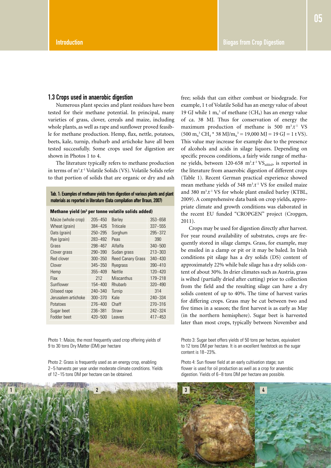#### 1.3 Crops used in anaerobic digestion

Numerous plant species and plant residues have been tested for their methane potential. In principal, many varieties of grass, clover, cereals and maize, including whole plants, as well as rape and sunflower proved feasible for methane production. Hemp, flax, nettle, potatoes, beets, kale, turnip, rhubarb and artichoke have all been tested successfully. Some crops used for digestion are shown in Photos 1 to 4.

The literature typically refers to methane production in terms of m<sup>3</sup>.t<sup>-1</sup> Volatile Solids (VS). Volatile Solids refer to that portion of solids that are organic or dry and ash

| Tab. 1: Examples of methane yields from digestion of various plants and plant<br>materials as reported in literature (Data compilation after Braun, 2007) |  |  |             |  |
|-----------------------------------------------------------------------------------------------------------------------------------------------------------|--|--|-------------|--|
| Methane yield (m <sup>3</sup> per tonne volatile solids added)                                                                                            |  |  |             |  |
| Maize (whole crop) 205-450 Barley                                                                                                                         |  |  | $353 - 658$ |  |

| Maize (whole crop)  | $205 - 450$ | Barley                   | $353 - 658$ |
|---------------------|-------------|--------------------------|-------------|
| Wheat (grain)       | $384 - 426$ | <b>Triticale</b>         | $337 - 555$ |
| Oats (grain)        | $250 - 295$ | Sorghum                  | $295 - 372$ |
| Rye (grain)         | $283 - 492$ | Peas                     | 390         |
| Grass               | 298-467     | Alfalfa                  | $340 - 500$ |
| Clover grass        | $290 - 390$ | Sudan grass              | $213 - 303$ |
| Red clover          | $300 - 350$ | <b>Reed Canary Grass</b> | $340 - 430$ |
| Clover              | $345 - 350$ | Ryegrass                 | $390 - 410$ |
| Hemp                | $355 - 409$ | <b>Nettle</b>            | 120-420     |
| <b>Flax</b>         | 212         | <b>Miscanthus</b>        | $179 - 218$ |
| Sunflower           | 154-400     | Rhubarb                  | $320 - 490$ |
| Oilseed rape        | $240 - 340$ | Turnip                   | 314         |
| Jerusalem artichoke | $300 - 370$ | Kale                     | $240 - 334$ |
| Potatoes            | $276 - 400$ | Chaff                    | $270 - 316$ |
| Sugar beet          | $236 - 381$ | <b>Straw</b>             | $242 - 324$ |
| Fodder beet         | $420 - 500$ | Leaves                   | $417 - 453$ |
|                     |             |                          |             |

Photo 1: Maize, the most frequently used crop offering yields of 9 to 30 tons Dry Matter (DM) per hectare

Photo 2: Grass is frequently used as an energy crop, enabling 2–5 harvests per year under moderate climate conditions. Yields of 12–15 tons DM per hectare can be obtained.

free; solids that can either combust or biodegrade. For example, 1 t of Volatile Solid has an energy value of about 19 GJ while 1  $m<sub>n</sub>$ <sup>3</sup> of methane (CH<sub>4</sub>) has an energy value of ca. 38 MJ. Thus for conservation of energy the maximum production of methane is  $500 \text{ m}^3.t^{-1} \text{ VS}$  $(500 \text{ m}_n^3 \text{ CH}_4 \times 38 \text{ MJ/m}_n^3 = 19,000 \text{ MJ} = 19 \text{ GJ} = 1 \text{ t VS}).$ This value may increase for example due to the presence of alcohols and acids in silage liquors. Depending on specific process conditions, a fairly wide range of methane yields, between 120-658  $m^3.t^1VS_{added}$ , is reported in the literature from anaerobic digestion of different crops (Table 1). Recent German practical experience showed mean methane yields of  $348 \text{ m}^3.t$ <sup>1</sup> VS for ensiled maize and 380  $m^3.t^{-1}$  VS for whole plant ensiled barley (KTBL, 2009). A comprehensive data bank on crop yields, appropriate climate and growth conditions was elaborated in the recent EU funded "CROPGEN" project (Cropgen, 2011).

Crops may be used for digestion directly after harvest. For year round availability of substrates, crops are frequently stored in silage clamps. Grass, for example, may be ensiled in a clamp or pit or it may be baled. In Irish conditions pit silage has a dry solids (DS) content of approximately 22% while bale silage has a dry solids content of about 30%. In drier climates such as Austria, grass is wilted (partially dried after cutting) prior to collection from the field and the resulting silage can have a dry solids content of up to 40%. The time of harvest varies for differing crops. Grass may be cut between two and five times in a season; the first harvest is as early as May (in the northern hemisphere). Sugar beet is harvested later than most crops, typically between November and

Photo 3: Sugar beet offers yields of 50 tons per hectare, equivalent to 12 tons DM per hectare. It is an excellent feedstock as the sugar content is 18–23%.

Photo 4: Sun flower field at an early cultivation stage; sun flower is used for oil production as well as a crop for anaerobic digestion. Yields of 6–8 tons DM per hectare are possible.

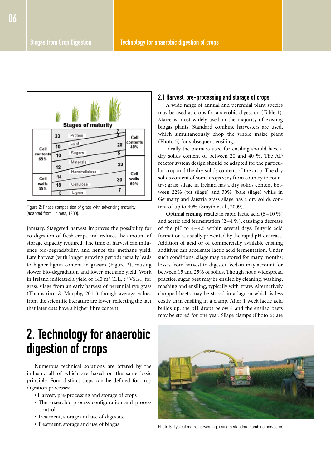

Figure 2: Phase composition of grass with advancing maturity (adapted from Holmes, 1980).

January. Staggered harvest improves the possibility for co-digestion of fresh crops and reduces the amount of storage capacity required. The time of harvest can influence bio-degradability, and hence the methane yield. Late harvest (with longer growing period) usually leads to higher lignin content in grasses (Figure 2), causing slower bio-degradation and lower methane yield. Work in Ireland indicated a yield of  $440 \text{ m}^3 \text{ CH}_4$ . t<sup>1</sup> VS<sub>added</sub> for grass silage from an early harvest of perennial rye grass (Thamsiriroj & Murphy, 2011) though average values from the scientific literature are lower, reflecting the fact that later cuts have a higher fibre content.

#### 2.1 Harvest, pre-processing and storage of crops

A wide range of annual and perennial plant species may be used as crops for anaerobic digestion (Table 1). Maize is most widely used in the majority of existing biogas plants. Standard combine harvesters are used, which simultaneously chop the whole maize plant (Photo 5) for subsequent ensiling.

Ideally the biomass used for ensiling should have a dry solids content of between 20 and 40 %. The AD reactor system design should be adapted for the particular crop and the dry solids content of the crop. The dry solids content of some crops vary from country to country; grass silage in Ireland has a dry solids content between 22% (pit silage) and 30% (bale silage) while in Germany and Austria grass silage has a dry solids content of up to 40% (Smyth et al., 2009).

Optimal ensiling results in rapid lactic acid (5–10 %) and acetic acid fermentation  $(2-4\%)$ , causing a decrease of the pH to  $4-4.5$  within several days. Butyric acid formation is usually prevented by the rapid pH decrease. Addition of acid or of commercially available ensiling additives can accelerate lactic acid fermentation. Under such conditions, silage may be stored for many months; losses from harvest to digester feed-in may account for between 15 and 25% of solids. Though not a widespread practice, sugar beet may be ensiled by cleaning, washing, mashing and ensiling, typically with straw. Alternatively chopped beets may be stored in a lagoon which is less costly than ensiling in a clamp. After 1 week lactic acid builds up, the pH drops below 4 and the ensiled beets may be stored for one year. Silage clamps (Photo 6) are

### 2. Technology for anaerobic digestion of crops

Numerous technical solutions are offered by the industry all of which are based on the same basic principle. Four distinct steps can be defined for crop digestion processes:

- Harvest, pre-processing and storage of crops
- The anaerobic process configuration and process control
- Treatment, storage and use of digestate
- Treatment, storage and use of biogas



Photo 5: Typical maize harvesting, using a standard combine harvester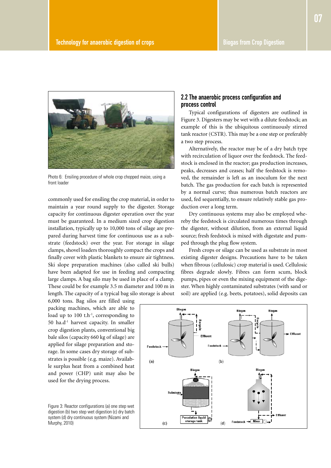

Photo 6: Ensiling procedure of whole crop chopped maize, using a front loader

commonly used for ensiling the crop material, in order to maintain a year round supply to the digester. Storage capacity for continuous digester operation over the year must be guaranteed. In a medium sized crop digestion installation, typically up to 10,000 tons of silage are prepared during harvest time for continuous use as a substrate (feedstock) over the year. For storage in silage clamps, shovel loaders thoroughly compact the crops and finally cover with plastic blankets to ensure air tightness. Ski slope preparation machines (also called ski bulls) have been adapted for use in feeding and compacting large clamps. A bag silo may be used in place of a clamp. These could be for example 3.5 m diameter and 100 m in length. The capacity of a typical bag silo storage is about

6,000 tons. Bag silos are filled using packing machines, which are able to load up to 100 t.h<sup>-1</sup>, corresponding to 50 ha.d-1 harvest capacity. In smaller crop digestion plants, conventional big bale silos (capacity 660 kg of silage) are applied for silage preparation and storage. In some cases dry storage of substrates is possible (e.g. maize). Available surplus heat from a combined heat and power (CHP) unit may also be used for the drying process.

Figure 3: Reactor configurations (a) one step wet digestion (b) two step wet digestion (c) dry batch system (d) dry continuous system (Nizami and Murphy, 2010)

#### 2.2 The anaerobic process configuration and process control

Typical configurations of digesters are outlined in Figure 3. Digesters may be wet with a dilute feedstock; an example of this is the ubiquitous continuously stirred tank reactor (CSTR). This may be a one step or preferably a two step process.

Alternatively, the reactor may be of a dry batch type with recirculation of liquor over the feedstock. The feedstock is enclosed in the reactor; gas production increases, peaks, decreases and ceases; half the feedstock is removed, the remainder is left as an inoculum for the next batch. The gas production for each batch is represented by a normal curve; thus numerous batch reactors are used, fed sequentially, to ensure relatively stable gas production over a long term.

Dry continuous systems may also be employed whereby the feedstock is circulated numerous times through the digester, without dilution, from an external liquid source; fresh feedstock is mixed with digestate and pumped through the plug flow system.

Fresh crops or silage can be used as substrate in most existing digester designs. Precautions have to be taken when fibrous (cellulosic) crop material is used. Cellulosic fibres degrade slowly. Fibres can form scum, block pumps, pipes or even the mixing equipment of the digester. When highly contaminated substrates (with sand or soil) are applied (e.g. beets, potatoes), solid deposits can

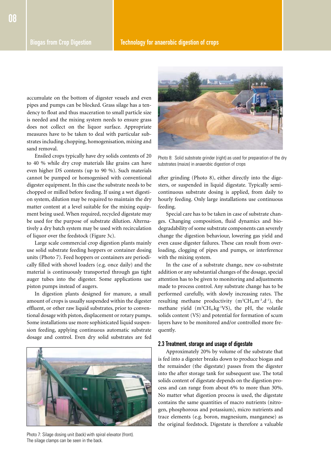accumulate on the bottom of digester vessels and even pipes and pumps can be blocked. Grass silage has a tendency to float and thus maceration to small particle size is needed and the mixing system needs to ensure grass does not collect on the liquor surface. Appropriate measures have to be taken to deal with particular substrates including chopping, homogenisation, mixing and sand removal.

Ensiled crops typically have dry solids contents of 20 to 40 % while dry crop materials like grains can have even higher DS contents (up to 90 %). Such materials cannot be pumped or homogenised with conventional digester equipment. In this case the substrate needs to be chopped or milled before feeding. If using a wet digestion system, dilution may be required to maintain the dry matter content at a level suitable for the mixing equipment being used. When required, recycled digestate may be used for the purpose of substrate dilution. Alternatively a dry batch system may be used with recirculation of liquor over the feedstock (Figure 3c).

Large scale commercial crop digestion plants mainly use solid substrate feeding hoppers or container dosing units (Photo 7). Feed hoppers or containers are periodically filled with shovel loaders (e.g. once daily) and the material is continuously transported through gas tight auger tubes into the digester. Some applications use piston pumps instead of augers.

In digestion plants designed for manure, a small amount of crops is usually suspended within the digester effluent, or other raw liquid substrates, prior to conventional dosage with piston, displacement or rotary pumps. Some installations use more sophisticated liquid suspension feeding, applying continuous automatic substrate dosage and control. Even dry solid substrates are fed



Photo 7: Silage dosing unit (back) with spiral elevator (front). The silage clamps can be seen in the back.



Photo 8: Solid substrate grinder (right) as used for preparation of the dry substrates (maize) in anaerobic digestion of crops

after grinding (Photo 8), either directly into the digesters, or suspended in liquid digestate. Typically semicontinuous substrate dosing is applied, from daily to hourly feeding. Only large installations use continuous feeding.

Special care has to be taken in case of substrate changes. Changing composition, fluid dynamics and biodegradability of some substrate components can severely change the digestion behaviour, lowering gas yield and even cause digester failures. These can result from overloading, clogging of pipes and pumps, or interference with the mixing system.

In the case of a substrate change, new co-substrate addition or any substantial changes of the dosage, special attention has to be given to monitoring and adjustments made to process control. Any substrate change has to be performed carefully, with slowly increasing rates. The resulting methane productivity  $(m^3CH_4.m^{-3}.d^{-1})$ , the methane yield (m<sup>3</sup>CH<sub>4</sub>.kg<sup>1</sup>VS), the pH, the volatile solids content (VS) and potential for formation of scum layers have to be monitored and/or controlled more frequently.

#### 2.3 Treatment, storage and usage of digestate

Approximately 20% by volume of the substrate that is fed into a digester breaks down to produce biogas and the remainder (the digestate) passes from the digester into the after storage tank for subsequent use. The total solids content of digestate depends on the digestion process and can range from about 6% to more than 30%. No matter what digestion process is used, the digestate contains the same quantities of macro nutrients (nitrogen, phosphorous and potassium), micro nutrients and trace elements (e.g. boron, magnesium, manganese) as the original feedstock. Digestate is therefore a valuable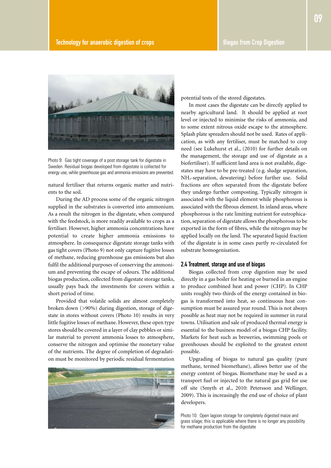

Photo 9: Gas tight coverage of a post storage tank for digestate in Sweden. Residual biogas developed from digestate is collected for energy use, while greenhouse gas and ammonia emissions are prevented.

natural fertiliser that returns organic matter and nutrients to the soil.

During the AD process some of the organic nitrogen supplied in the substrates is converted into ammonium. As a result the nitrogen in the digestate, when compared with the feedstock, is more readily available to crops as a fertiliser. However, higher ammonia concentrations have potential to create higher ammonia emissions to atmosphere. In consequence digestate storage tanks with gas tight covers (Photo 9) not only capture fugitive losses of methane, reducing greenhouse gas emissions but also fulfil the additional purposes of conserving the ammonium and preventing the escape of odours. The additional biogas production, collected from digestate storage tanks, usually pays back the investments for covers within a short period of time.

Provided that volatile solids are almost completely broken down (>90%) during digestion, storage of digestate in stores without covers (Photo 10) results in very little fugitive losses of methane. However, these open type stores should be covered in a layer of clay pebbles or similar material to prevent ammonia losses to atmosphere, conserve the nitrogen and optimise the monetary value of the nutrients. The degree of completion of degradation must be monitored by periodic residual fermentation



potential tests of the stored digestates.

In most cases the digestate can be directly applied to nearby agricultural land. It should be applied at root level or injected to minimise the risks of ammonia, and to some extent nitrous oxide escape to the atmosphere. Splash plate spreaders should not be used. Rates of application, as with any fertiliser, must be matched to crop need (see Lukehurst et al., (2010) for further details on the management, the storage and use of digestate as a biofertiliser). If sufficient land area is not available, digestates may have to be pre-treated (e.g. sludge separation, NH3-separation, dewatering) before further use. Solid fractions are often separated from the digestate before they undergo further composting. Typically nitrogen is associated with the liquid element while phosphorous is associated with the fibrous element. In inland areas, where phosphorous is the rate limiting nutrient for eutrophication, separation of digestate allows the phosphorous to be exported in the form of fibres, while the nitrogen may be applied locally on the land. The separated liquid fraction of the digestate is in some cases partly re-circulated for substrate homogenisation.

#### 2.4 Treatment, storage and use of biogas

Biogas collected from crop digestion may be used directly in a gas boiler for heating or burned in an engine to produce combined heat and power (CHP). In CHP units roughly two-thirds of the energy contained in biogas is transformed into heat, so continuous heat consumption must be assured year round. This is not always possible as heat may not be required in summer in rural towns. Utilisation and sale of produced thermal energy is essential to the business model of a biogas CHP facility. Markets for heat such as breweries, swimming pools or greenhouses should be exploited to the greatest extent possible.

Upgrading of biogas to natural gas quality (pure methane, termed biomethane), allows better use of the energy content of biogas. Biomethane may be used as a transport fuel or injected to the natural gas grid for use off site (Smyth et al., 2010: Petersson and Wellinger, 2009). This is increasingly the end use of choice of plant developers.

Photo 10: Open lagoon storage for completely digested maize and grass silage; this is applicable where there is no longer any possibility for methane production from the digestate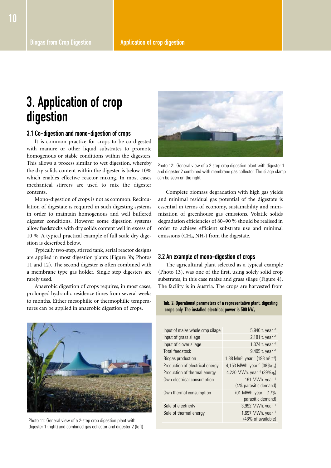### 3. Application of crop digestion

#### 3.1 Co-digestion and mono-digestion of crops

It is common practice for crops to be co-digested with manure or other liquid substrates to promote homogenous or stable conditions within the digesters. This allows a process similar to wet digestion, whereby the dry solids content within the digester is below 10% which enables effective reactor mixing. In most cases mechanical stirrers are used to mix the digester contents.

Mono-digestion of crops is not as common. Recirculation of digestate is required in such digesting systems in order to maintain homogenous and well buffered digester conditions. However some digestion systems allow feedstocks with dry solids content well in excess of 10 %. A typical practical example of full scale dry digestion is described below.

Typically two-step, stirred tank, serial reactor designs are applied in most digestion plants (Figure 3b; Photos 11 and 12). The second digester is often combined with a membrane type gas holder. Single step digesters are rarely used.

Anaerobic digestion of crops requires, in most cases, prolonged hydraulic residence times from several weeks to months. Either mesophilic or thermophilic temperatures can be applied in anaerobic digestion of crops.



Photo 11: General view of a 2-step crop digestion plant with digester 1 (right) and combined gas collector and digester 2 (left)



Photo 12: General view of a 2-step crop digestion plant with digester 1 and digester 2 combined with membrane gas collector. The silage clamp can be seen on the right.

Complete biomass degradation with high gas yields and minimal residual gas potential of the digestate is essential in terms of economy, sustainability and minimisation of greenhouse gas emissions. Volatile solids degradation efficiencies of 80–90 % should be realised in order to achieve efficient substrate use and minimal emissions  $(CH_4, NH_3)$  from the digestate.

#### 3.2 An example of mono-digestion of crops

The agricultural plant selected as a typical example (Photo 13), was one of the first, using solely solid crop substrates, in this case maize and grass silage (Figure 4). The facility is in Austria. The crops are harvested from

#### Tab. 2: Operational parameters of a representative plant, digesting crops only. The installed electrical power is 500 kWe

| Input of maize whole crop silage | 5,940 t. year -1                                                                 |
|----------------------------------|----------------------------------------------------------------------------------|
| Input of grass silage            | 2,181 t. year -1                                                                 |
| Input of clover silage           | 1,374 t. year -1                                                                 |
| Total feedstock                  | 9,495 t. year -1                                                                 |
| Biogas production                | 1.88 Mm <sup>3</sup> . year <sup>-1</sup> (198 m <sup>3</sup> .t <sup>-1</sup> ) |
| Production of electrical energy  | 4,153 MWh. year <sup>-1</sup> (38%ne)                                            |
| Production of thermal energy     | 4,220 MWh. year $-1$ (39% $n_t$ )                                                |
| Own electrical consumption       | 161 MWh. year -1<br>(4% parasitic demand)                                        |
| Own thermal consumption          | 701 MWh. year -1 (17%<br>parasitic demand)                                       |
| Sale of electricity              | 3,992 MWh. year -1                                                               |
| Sale of thermal energy           | 1,697 MWh. year -1<br>(48% of available)                                         |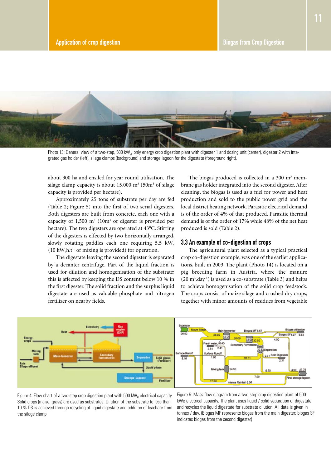

Photo 13: General view of a two-step, 500 kW<sub>a</sub> only energy crop digestion plant with digester 1 and dosing unit (center), digester 2 with integrated gas holder (left), silage clamps (background) and storage lagoon for the digestate (foreground right).

about 300 ha and ensiled for year round utilisation. The silage clamp capacity is about  $15,000 \text{ m}^3$  (50m<sup>3</sup> of silage capacity is provided per hectare).

Approximately 25 tons of substrate per day are fed (Table 2; Figure 5) into the first of two serial digesters. Both digesters are built from concrete, each one with a capacity of  $1,500 \text{ m}^3$  (10m<sup>3</sup> of digester is provided per hectare). The two digesters are operated at 43°C. Stirring of the digesters is effected by two horizontally arranged, slowly rotating paddles each one requiring  $5.5 \text{ kW}_{\text{e}}$ (10 kW $_{\rm e}$ h.t<sup>-1</sup> of mixing is provided) for operation.

The digestate leaving the second digester is separated by a decanter centrifuge. Part of the liquid fraction is used for dilution and homogenisation of the substrate; this is affected by keeping the DS content below 10 % in the first digester. The solid fraction and the surplus liquid digestate are used as valuable phosphate and nitrogen fertilizer on nearby fields.

The biogas produced is collected in a 300  $m<sup>3</sup>$  membrane gas holder integrated into the second digester. After cleaning, the biogas is used as a fuel for power and heat production and sold to the public power grid and the local district heating network. Parasitic electrical demand is of the order of 4% of that produced. Parasitic thermal demand is of the order of 17% while 48% of the net heat produced is sold (Table 2).

#### 3.3 An example of co-digestion of crops

The agricultural plant selected as a typical practical crop co-digestion example, was one of the earlier applications, built in 2003. The plant (Photo 14) is located on a pig breeding farm in Austria, where the manure  $(20 \text{ m}^3 \text{.day}^1)$  is used as a co-substrate (Table 3) and helps to achieve homogenisation of the solid crop feedstock. The crops consist of maize silage and crushed dry crops, together with minor amounts of residues from vegetable



Figure 4: Flow chart of a two step crop digestion plant with 500 kW $_{\rm e}$  electrical capacity. Solid crops (maize, grass) are used as substrates. Dilution of the substrate to less than 10 % DS is achieved through recycling of liquid digestate and addition of leachate from the silage clamp

Figure 5: Mass flow diagram from a two-step crop digestion plant of 500 kWe electrical capacity. The plant uses liquid / solid separation of digestate and recycles the liquid digestate for substrate dilution. All data is given in tonnes / day. (Biogas MF represents biogas from the main digester; biogas SF indicates biogas from the second digester)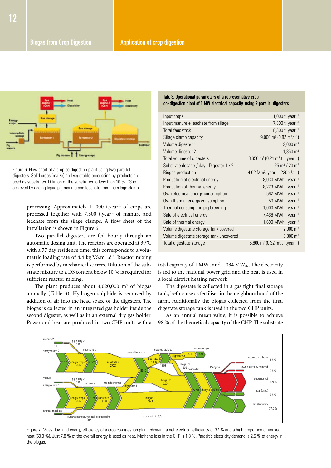

Figure 6: Flow chart of a crop co-digestion plant using two parallel digesters. Solid crops (maize) and vegetable processing by-products are used as substrates. Dilution of the substrates to less than 10 % DS is achieved by adding liquid pig manure and leachate from the silage clamp.

processing. Approximately 11,000 t.year<sup>1</sup> of crops are processed together with 7,300 t.year<sup>1</sup> of manure and leachate from the silage clamps. A flow sheet of the installation is shown in Figure 6.

Two parallel digesters are fed hourly through an automatic dosing unit. The reactors are operated at 39°C with a 77 day residence time; this corresponds to a volumetric loading rate of 4.4 kg VS.m<sup>-3</sup>.d<sup>-1</sup>. Reactor mixing is performed by mechanical stirrers. Dilution of the substrate mixture to a DS content below 10 % is required for sufficient reactor mixing.

The plant produces about  $4,020,000$  m<sup>3</sup> of biogas annually (Table 3). Hydrogen sulphide is removed by addition of air into the head space of the digesters. The biogas is collected in an integrated gas holder inside the second digester, as well as in an external dry gas holder. Power and heat are produced in two CHP units with a

#### Tab. 3: Operational parameters of a representative crop co-digestion plant of 1 MW electrical capacity, using 2 parallel digesters

| Input crops                             | 11,000 t. year $-1$                                                              |
|-----------------------------------------|----------------------------------------------------------------------------------|
| Input manure + leachate from silage     | 7,300 t. year -1                                                                 |
| <b>Total feedstock</b>                  | 18,300 t. year -1                                                                |
| Silage clamp capacity                   | $9,000$ m <sup>3</sup> (0.82 m <sup>3</sup> .t <sup>-1</sup> )                   |
| Volume digester 1                       | $2,000 \text{ m}^3$                                                              |
| Volume digester 2                       | $1,850 \text{ m}^3$                                                              |
| Total volume of digesters               | 3,850 m <sup>3</sup> (0.21 m <sup>3</sup> .t <sup>-1</sup> .year <sup>-1</sup> ) |
| Substrate dosage / day - Digester 1 / 2 | $25 \text{ m}^3 / 20 \text{ m}^3$                                                |
| Biogas production                       | 4.02 Mm <sup>3</sup> . year <sup>-1</sup> (220m <sup>3</sup> .t <sup>-1</sup> )  |
| Production of electrical energy         | 8,030 MWh. year -1                                                               |
| Production of thermal energy            | 8,223 MWh. year -1                                                               |
| Own electrical energy consumption       | 562 MWh. year -1                                                                 |
| Own thermal energy consumption          | 50 MWh. year -1                                                                  |
| Thermal consumption pig breeding        | 1,000 MWh. year -1                                                               |
| Sale of electrical energy               | 7,468 MWh. year -1                                                               |
| Sale of thermal energy                  | 1,600 MWh. year -1                                                               |
| Volume digestate storage tank covered   | $2,000 \text{ m}^3$                                                              |
| Volume digestate storage tank uncovered | $3,800 \text{ m}^3$                                                              |
| Total digestate storage                 | 5,800 m <sup>3</sup> (0.32 m <sup>3</sup> .t <sup>-1</sup> .year <sup>-1</sup> ) |

total capacity of 1 MW<sub>e</sub> and 1.034 MW<sub>th</sub>. The electricity is fed to the national power grid and the heat is used in a local district heating network.

The digestate is collected in a gas tight final storage tank, before use as fertiliser in the neighbourhood of the farm. Additionally the biogas collected from the final digestate storage tank is used in the two CHP units.

As an annual mean value, it is possible to achieve 98 % of the theoretical capacity of the CHP. The substrate



Figure 7: Mass flow and energy efficiency of a crop co-digestion plant, showing a net electrical efficiency of 37 % and a high proportion of unused heat (50.9 %). Just 7.8 % of the overall energy is used as heat. Methane loss in the CHP is 1.8 %. Parasitic electricity demand is 2.5 % of energy in the biogas.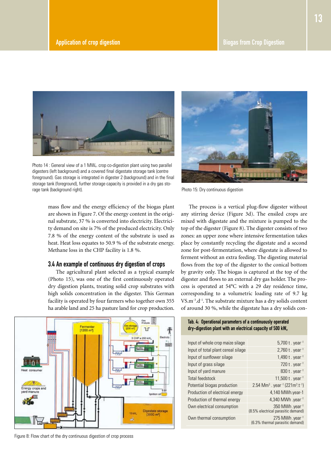

Photo 14 : General view of a 1 MW<sub>e</sub>. crop co-digestion plant using two parallel digesters (left background) and a covered final digestate storage tank (centre foreground). Gas storage is integrated in digester 2 (background) and in the final storage tank (foreground), further storage capacity is provided in a dry gas storage tank (background right).

mass flow and the energy efficiency of the biogas plant are shown in Figure 7. Of the energy content in the original substrate, 37 % is converted into electricity. Electricity demand on site is 7% of the produced electricity. Only 7.8 % of the energy content of the substrate is used as heat. Heat loss equates to 50.9 % of the substrate energy. Methane loss in the CHP facility is 1.8 %.

#### 3.4 An example of continuous dry digestion of crops

The agricultural plant selected as a typical example (Photo 15), was one of the first continuously operated dry digestion plants, treating solid crop substrates with high solids concentration in the digester. This German facility is operated by four farmers who together own 355 ha arable land and 25 ha pasture land for crop production.



Figure 8: Flow chart of the dry continuous digestion of crop process



Photo 15: Dry continuous digestion

The process is a vertical plug-flow digester without any stirring device (Figure 3d). The ensiled crops are mixed with digestate and the mixture is pumped to the top of the digester (Figure 8). The digester consists of two zones: an upper zone where intensive fermentation takes place by constantly recycling the digestate and a second zone for post-fermentation, where digestate is allowed to ferment without an extra feeding. The digesting material flows from the top of the digester to the conical bottom by gravity only. The biogas is captured at the top of the digester and flows to an external dry gas holder. The process is operated at 54°C with a 29 day residence time, corresponding to a volumetric loading rate of 9.7 kg VS.m-3.d-1. The substrate mixture has a dry solids content of around 30 %, while the digestate has a dry solids con-

#### Tab. 4: Operational parameters of a continuously operated dry-digestion plant with an electrical capacity of 500 kW.

| Input of whole crop maize silage   | 5,700 t. year <sup>-1</sup>                                                     |
|------------------------------------|---------------------------------------------------------------------------------|
| Input of total plant cereal silage | 2,760 $t.$ year $^{-1}$                                                         |
| Input of sunflower silage          | 1,490 t. year-1                                                                 |
| Input of grass silage              | 720 t. year-1                                                                   |
| Input of yard manure               | 830 t. year-1                                                                   |
| Total feedstock                    | 11,500 t. year-1                                                                |
| Potential biogas production        | 2.54 Mm <sup>3</sup> . year <sup>-1</sup> (221m <sup>3</sup> .t <sup>-1</sup> ) |
| Production of electrical energy    | 4,140 MWh.year-1                                                                |
| Production of thermal energy       | 4,340 MWh .year-1                                                               |
| Own electrical consumption         | 1 <sup>-</sup> 350 MWh .year<br>(8.5% electrical parasitic demand)              |
| Own thermal consumption            | 1 <sup>-</sup> 275 MWh .year<br>(6.3% thermal parasitic demand)                 |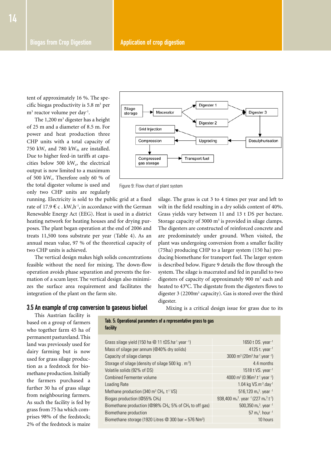tent of approximately 16 %. The specific biogas productivity is 5.8 m<sup>3</sup> per m<sup>3</sup> reactor volume per day<sup>-1</sup>.

The  $1,200 \text{ m}^3$  digester has a height of 25 m and a diameter of 8.5 m. For power and heat production three CHP units with a total capacity of 750 kW $_{\rm e}$  and 780 kW $_{\rm th}$  are installed. Due to higher feed-in tariffs at capacities below 500 kWe, the electrical output is now limited to a maximum of 500 kWe. Therefore only 60 % of the total digester volume is used and only two CHP units are regularly



Figure 9: Flow chart of plant system

Tab. 5: Operational parameters of a representative grass to gas

running. Electricity is sold to the public grid at a fixed rate of 17.9  $\epsilon$  c . kW<sub>e</sub>h<sup>-1</sup>, in accordance with the German Renewable Energy Act (EEG). Heat is used in a district heating network for heating houses and for drying purposes. The plant began operation at the end of 2006 and treats 11,500 tons substrate per year (Table 4). As an annual mean value, 97 % of the theoretical capacity of two CHP units is achieved.

The vertical design makes high solids concentrations feasible without the need for mixing. The down-flow operation avoids phase separation and prevents the formation of a scum layer. The vertical design also minimizes the surface area requirement and facilitates the integration of the plant on the farm site.

#### silage. The grass is cut 3 to 4 times per year and left to wilt in the field resulting in a dry solids content of 40%. Grass yields vary between 11 and 13 t DS per hectare. Storage capacity of 3000  $m<sup>3</sup>$  is provided in silage clamps. The digesters are constructed of reinforced concrete and are predominately under ground. When visited, the plant was undergoing conversion from a smaller facility (75ha) producing CHP to a larger system (150 ha) producing biomethane for transport fuel. The larger system is described below. Figure 9 details the flow through the system. The silage is macerated and fed in parallel to two digesters of capacity of approximately 900 m<sup>3</sup> each and heated to 43°C. The digestate from the digesters flows to digester 3 (2200m<sup>3</sup> capacity). Gas is stored over the third digester.

#### 3.5 An example of crop conversion to gaseous biofuel

This Austrian facility is based on a group of farmers who together farm 45 ha of permanent pastureland. This land was previously used for dairy farming but is now used for grass silage production as a feedstock for biomethane production. Initially the farmers purchased a further 30 ha of grass silage from neighbouring farmers. As such the facility is fed by grass from 75 ha which comprises 98% of the feedstock; 2% of the feedstock is maize

Mixing is a critical design issue for grass due to its

| facility                                                                        |                                                                                                              |
|---------------------------------------------------------------------------------|--------------------------------------------------------------------------------------------------------------|
| Grass silage yield (150 ha $@$ 11 tDS.ha <sup>-1</sup> .year <sup>-1</sup> )    | 1650 t DS. year $-1$                                                                                         |
| Mass of silage per annum (@40% dry solids)                                      | 4125 t. year $-1$                                                                                            |
| Capacity of silage clamps                                                       | 3000 m <sup>3</sup> (20m <sup>3</sup> .ha <sup>-1</sup> .year <sup>-1</sup> )                                |
| Storage of silage (density of silage 500 kg . m <sup>-3</sup> )                 | 4.4 months                                                                                                   |
| Volatile solids (92% of DS)                                                     | 1518 t VS. year $-1$                                                                                         |
| Combined Fermenter volume                                                       | 4000 m <sup>3</sup> (0.96m <sup>3</sup> .t <sup>-1</sup> .year <sup>-1</sup> )                               |
| <b>Loading Rate</b>                                                             | 1.04 kg $VS.m^{-3}.day^{-1}$                                                                                 |
| Methane production (340 m <sup>3</sup> CH <sub>4</sub> . $t$ <sup>-1</sup> VS)  | 516,120 m <sub>n</sub> <sup>3</sup> . year $-1$                                                              |
| Biogas production ( $@55\%$ CH <sub>4</sub> )                                   | 938,400 m <sub>n</sub> <sup>3</sup> . year <sup>-1</sup> (227 m <sub>n</sub> <sup>3</sup> .t <sup>-1</sup> ) |
| Biomethane production (@98% CH <sub>4</sub> ; 5% of CH <sub>4</sub> to off gas) | 500,350 $m_n^3$ . year $^{-1}$                                                                               |
| Biomethane production                                                           | 57 m <sub>n</sub> <sup>3</sup> . hour $-1$                                                                   |
| Biomethane storage (1920 Litres $\omega$ 300 bar = 576 Nm <sup>3</sup> )        | 10 hours                                                                                                     |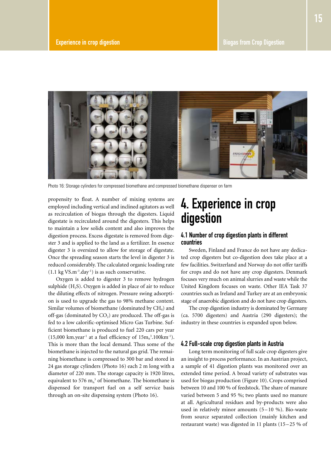

Photo 16: Storage cylinders for compressed biomethane and compressed biomethane dispenser on farm

propensity to float. A number of mixing systems are employed including vertical and inclined agitators as well as recirculation of biogas through the digesters. Liquid digestate is recirculated around the digesters. This helps to maintain a low solids content and also improves the digestion process. Excess digestate is removed from digester 3 and is applied to the land as a fertilizer. In essence digester 3 is oversized to allow for storage of digestate. Once the spreading season starts the level in digester 3 is reduced considerably. The calculated organic loading rate  $(1.1 \text{ kg VS.m}^{-3}.\text{day}^{-1})$  is as such conservative.

Oxygen is added to digester 3 to remove hydrogen sulphide  $(H_2S)$ . Oxygen is added in place of air to reduce the diluting effects of nitrogen. Pressure swing adsorption is used to upgrade the gas to 98% methane content. Similar volumes of biomethane (dominated by  $CH<sub>4</sub>$ ) and off-gas (dominated by  $CO<sub>2</sub>$ ) are produced. The off-gas is fed to a low calorific-optimised Micro Gas Turbine. Sufficient biomethane is produced to fuel 220 cars per year  $(15,000 \text{ km} \cdot \text{year}^{-1})$  at a fuel efficiency of  $15 \text{m}^3 \cdot 100 \text{ km}^{-1}$ ). This is more than the local demand. Thus some of the biomethane is injected to the natural gas grid. The remaining biomethane is compressed to 300 bar and stored in 24 gas storage cylinders (Photo 16) each 2 m long with a diameter of 220 mm. The storage capacity is 1920 litres, equivalent to 576  $m<sub>n</sub>$ <sup>3</sup> of biomethane. The biomethane is dispensed for transport fuel on a self service basis through an on-site dispensing system (Photo 16).

### 4. Experience in crop digestion

#### 4.1 Number of crop digestion plants in different countries

Sweden, Finland and France do not have any dedicated crop digesters but co-digestion does take place at a few facilities. Switzerland and Norway do not offer tariffs for crops and do not have any crop digesters. Denmark focuses very much on animal slurries and waste while the United Kingdom focuses on waste. Other IEA Task 37 countries such as Ireland and Turkey are at an embryonic stage of anaerobic digestion and do not have crop digesters.

The crop digestion industry is dominated by Germany (ca. 5700 digesters) and Austria (290 digesters); the industry in these countries is expanded upon below.

#### 4.2 Full-scale crop digestion plants in Austria

Long term monitoring of full scale crop digesters give an insight to process performance. In an Austrian project, a sample of 41 digestion plants was monitored over an extended time period. A broad variety of substrates was used for biogas production (Figure 10). Crops comprised between 10 and 100 % of feedstock. The share of manure varied between 5 and 95 %; two plants used no manure at all. Agricultural residues and by-products were also used in relatively minor amounts  $(5-10, 96)$ . Bio-waste from source separated collection (mainly kitchen and restaurant waste) was digested in 11 plants (15 – 25 % of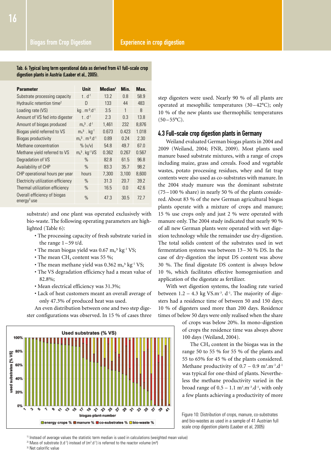Tab. 6: Typical long term operational data as derived from 41 full-scale crop digestion plants in Austria (Laaber et al., 2005).

| <b>Parameter</b>                                        | <b>Unit</b>                                              | Median <sup>1</sup> | Min.           | Max.  |
|---------------------------------------------------------|----------------------------------------------------------|---------------------|----------------|-------|
| Substrate processing capacity                           | $t$ . $d^{-1}$                                           | 13.2                | 0.8            | 58.9  |
| Hydraulic retention time <sup>2</sup>                   | D                                                        | 133                 | 44             | 483   |
| Loading rate (VS)                                       | $kq. m-3.d-1$                                            | 3.5                 | 1              | 8     |
| Amount of VS fed into digester                          | $t$ . $d^{-1}$                                           | 2.3                 | 0.3            | 13.8  |
| Amount of biogas produced                               | $m_n^3$ , d <sup>-1</sup>                                | 1,461               | 232            | 8,876 |
| Biogas yield referred to VS                             | $m_n^3$ . kg <sup>-1</sup>                               | 0.673               | 0.423          | 1.018 |
| Biogas productivity                                     | $\rm m_{\rm n}^{3}$ . $\rm m_{\rm}^{3}$ .d <sup>-1</sup> | 0.89                | 0.24           | 2.30  |
| Methane concentration                                   | $\%$ (v/v)                                               | 54.8                | 49 7           | 67.0  |
| Methane yield referred to VS                            | $m_n^3$ . kg <sup>-1</sup> VS                            | 0.362               | 0.267          | 0.567 |
| Degradation of VS                                       | $\%$                                                     | 82.8                | 61.5           | 96.8  |
| Availability of CHP                                     | $\%$                                                     | 83.3                | 35.7           | 98.2  |
| CHP operational hours per year                          | hours                                                    | 7,300               | 3,100          | 8,600 |
| Electricity utilization efficiency                      | $\%$                                                     | 31.3                | 20.7           | 39.2  |
| Thermal utilization efficiency                          | $\%$                                                     | 16.5                | 0 <sub>0</sub> | 42.6  |
| Overall efficiency of biogas<br>energy <sup>3</sup> use | $\%$                                                     | 47.3                | 30.5           | 72 7  |

substrate) and one plant was operated exclusively with bio-waste. The following operating parameters are highlighted (Table 6):

- The processing capacity of fresh substrate varied in the range  $1-59$  t/d.
- The mean biogas yield was 0.67  $m_n^3$  kg<sup>-1</sup> VS;
- The mean CH<sub>4</sub> content was 55 %;
- The mean methane yield was  $0.362 \text{ m}_n^3 \text{ kg}^{-1} \text{ VS};$
- The VS degradation efficiency had a mean value of 82.8%;
- Mean electrical efficiency was 31.3%;
- Lack of heat customers meant an overall average of only 47.3% of produced heat was used.

An even distribution between one and two step digester configurations was observed. In 15 % of cases three



step digesters were used. Nearly 90 % of all plants are operated at mesophilic temperatures (30–42°C); only 10 % of the new plants use thermophilic temperatures  $(50-55$ °C).

#### 4.3 Full-scale crop digestion plants in Germany

Weiland evaluated German biogas plants in 2004 and 2009 (Weiland, 2004; FNR, 2009). Most plants used manure based substrate mixtures, with a range of crops including maize, grass and cereals. Food and vegetable wastes, potato processing residues, whey and fat trap contents were also used as co-substrates with manure. In the 2004 study manure was the dominant substrate  $(75 - 100 \% \text{ share})$  in nearly 50 % of the plants considered. About 83 % of the new German agricultural biogas plants operate with a mixture of crops and manure; 15 % use crops only and just 2 % were operated with manure only. The 2004 study indicated that nearly 90 % of all new German plants were operated with wet digestion technology while the remainder use dry-digestion. The total solids content of the substrates used in wet fermentation systems was between 13 – 30 % DS. In the case of dry-digestion the input DS content was above 30 %. The final digestate DS content is always below 10 %, which facilitates effective homogenisation and application of the digestate as fertilizer.

With wet digestion systems, the loading rate varied between  $1.2 - 4.3$  kg VS.m<sup>-3</sup>. d<sup>-1</sup>. The majority of digesters had a residence time of between 50 and 150 days; 10 % of digesters used more than 200 days. Residence times of below 50 days were only realised when the share

> of crops was below 20%. In mono-digestion of crops the residence time was always above 100 days (Weiland, 2004).

The  $CH<sub>4</sub>$  content in the biogas was in the range 50 to 55 % for 55 % of the plants and 55 to 65% for 45 % of the plants considered. Methane productivity of  $0.7 - 0.9$  m<sup>3</sup>.m<sup>-3</sup>.d<sup>-1</sup> was typical for one-third of plants. Nevertheless the methane productivity varied in the broad range of  $0.5 - 1.1$  m<sup>3</sup>.m<sup>-3</sup>.d<sup>-1</sup>, with only a few plants achieving a productivity of more

Figure 10: Distribution of crops, manure, co-substrates and bio-wastes as used in a sample of 41 Austrian full scale crop digestion plants (Laaber et al, 2005)

<sup>1)</sup> Instead of average values the statistic term median is used in calculations (weighted mean value)

<sup>2)</sup> Mass of substrate (t.d<sup>-1</sup>) instead of (m<sup>3</sup>.d<sup>-1</sup>) is referred to the reactor volume (m<sup>3</sup>)

3) Net calorific value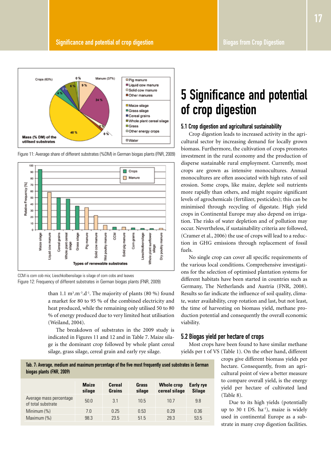

Figure 11: Average share of different substrates (%DM) in German biogas plants (FNR, 2009)



CCM is corn cob mix; Lieschkolbensilage is silage of corn cobs and leaves

Figure 12: Frequency of different substrates in German biogas plants (FNR, 2009)

than 1.1  $m^3.m^{-3}.d^{-1}$ . The majority of plants (80 %) found a market for 80 to 95 % of the combined electricity and heat produced, while the remaining only utilised 50 to 80 % of energy produced due to very limited heat utilisation (Weiland, 2004).

The breakdown of substrates in the 2009 study is indicated in Figures 11 and 12 and in Table 7. Maize silage is the dominant crop followed by whole plant cereal silage, grass silage, cereal grain and early rye silage.

### 5 Significance and potential of crop digestion

#### 5.1 Crop digestion and agricultural sustainability

Crop digestion leads to increased activity in the agricultural sector by increasing demand for locally grown biomass. Furthermore, the cultivation of crops promotes investment in the rural economy and the production of disperse sustainable rural employment. Currently, most crops are grown as intensive monocultures. Annual monocultures are often associated with high rates of soil erosion. Some crops, like maize, deplete soil nutrients more rapidly than others, and might require significant levels of agrochemicals (fertilizer, pesticides); this can be minimised through recycling of digestate. High yield crops in Continental Europe may also depend on irrigation. The risks of water depletion and of pollution may occur. Nevertheless, if sustainability criteria are followed, (Cramer et al., 2006) the use of crops will lead to a reduction in GHG emissions through replacement of fossil fuels.

No single crop can cover all specific requirements of the various local conditions. Comprehensive investigations for the selection of optimised plantation systems for different habitats have been started in countries such as Germany, The Netherlands and Austria (FNR, 2008). Results so far indicate the influence of soil quality, climate, water availability, crop rotation and last, but not least, the time of harvesting on biomass yield, methane production potential and consequently the overall economic viability.

#### 5.2 Biogas yield per hectare of crops

Most crops have been found to have similar methane yields per t of VS (Table 1). On the other hand, different

Tab. 7: Average, medium and maximum percentage of the five most frequently used substrates in German biogas plants (FNR, 2009)

|      |      |      | <b>Silage</b>                            |
|------|------|------|------------------------------------------|
| 3.1  | 10.5 | 10.7 | 9.8                                      |
| 0.25 | 0.53 | 0.29 | 0.36                                     |
| 23.5 | 51.5 | 29.3 | 53.5                                     |
|      |      |      | cereal silage<br><b>Grains</b><br>silage |

crops give different biomass yields per hectare. Consequently, from an agricultural point of view a better measure to compare overall yield, is the energy yield per hectare of cultivated land (Table 8).

Due to its high yields (potentially up to 30 t DS.  $ha^{-1}$ ), maize is widely used in continental Europe as a substrate in many crop digestion facilities.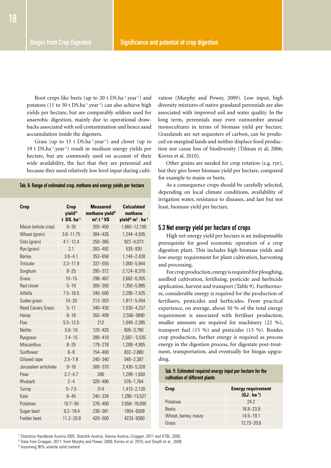Root crops like beets (up to 20 t DS.ha<sup>-1</sup>.year<sup>-1</sup>) and potatoes (11 to 50 t DS.ha<sup>-1</sup>.year<sup>1</sup>) can also achieve high yields per hectare, but are comparably seldom used for anaerobic digestion, mainly due to operational drawbacks associated with soil contamination and hence sand accumulation inside the digesters.

Grass (up to 15 t DS.ha-1.year-1) and clover (up to 19 t DS.ha-1.year-1) result in medium energy yields per hectare, but are commonly used on account of their wide availability, the fact that they are perennial and because they need relatively low level input during culti-

Tab. 8: Range of estimated crop, methane and energy yields per hectare

| Crop                     | Crop<br>yield <sup>1)</sup><br>$t$ DS. ha $-1$ | <b>Measured</b><br>methane yield <sup>2)</sup><br>$m^3$ . t <sup>-1</sup> VS | <b>Calculated</b><br>methane<br>$yield3$ m <sup>3</sup> . ha <sup>-1</sup> |
|--------------------------|------------------------------------------------|------------------------------------------------------------------------------|----------------------------------------------------------------------------|
| Maize (whole crop)       | $9 - 30$                                       | $205 - 450$                                                                  | 1,660-12,150                                                               |
| Wheat (grain)            | $3.6 - 11.75$                                  | $384 - 426$                                                                  | 1,244-4,505                                                                |
| Oats (grain)             | $4.1 - 12.4$                                   | $250 - 365$                                                                  | $922 - 4,073$                                                              |
| Rye (grain)              | 21                                             | 283-492                                                                      | 535-930                                                                    |
| <b>Barley</b>            | $3.6 - 4.1$                                    | $353 - 658$                                                                  | 1,144-2,428                                                                |
| <b>Triticale</b>         | $3.3 - 11.9$                                   | $337 - 555$                                                                  | 1,000-5,944                                                                |
| Sorghum                  | $8 - 25$                                       | $295 - 372$                                                                  | 2,124-8,370                                                                |
| Grass                    | $10 - 15$                                      | 298-467                                                                      | 2,682-6,305                                                                |
| Red clover               | $5 - 19$                                       | $300 - 350$                                                                  | 1,350-5,985                                                                |
| Alfalfa                  | $7.5 - 16.5$                                   | $340 - 500$                                                                  | 2,295-7,425                                                                |
| Sudan grass              | $10 - 20$                                      | $213 - 303$                                                                  | 1,917-5,454                                                                |
| <b>Reed Canary Grass</b> | $5 - 11$                                       | $340 - 430$                                                                  | 1,530-4,257                                                                |
| Hemp                     | $8 - 16$                                       | $355 - 409$                                                                  | 2,556-5890                                                                 |
| Flax                     | $5.5 - 12.5$                                   | 212                                                                          | 1,049-2,385                                                                |
| Nettle                   | $5.6 - 10$                                     | $120 - 420$                                                                  | 605-3,780                                                                  |
| <b>Ryegrass</b>          | $7.4 - 15$                                     | $390 - 410$                                                                  | $2,597 - 5,535$                                                            |
| Miscanthus               | $8 - 25$                                       | 179-218                                                                      | 1,289-4,905                                                                |
| Sunflower                | $6 - 8$                                        | $154 - 400$                                                                  | $832 - 2,880$                                                              |
| Oilseed rape             | $2.5 - 7.8$                                    | $240 - 340$                                                                  | $540 - 2,387$                                                              |
| Jerusalem artichoke      | $9 - 16$                                       | $300 - 370$                                                                  | 2,430-5,328                                                                |
| Peas                     | $3.7 - 4.7$                                    | 390                                                                          | 1,299-1,650                                                                |
| <b>Rhubarb</b>           | $2 - 4$                                        | $320 - 490$                                                                  | $576 - 1,764$                                                              |
| Turnip                   | $5 - 7.5$                                      | 314                                                                          | 1,413-2,120                                                                |
| Kale                     | $6 - 45$                                       | $240 - 334$                                                                  | 1,296-13,527                                                               |
| Potatoes                 | $10.7 - 50$                                    | $276 - 400$                                                                  | 2,658-18,000                                                               |
| Sugar beet               | $9.2 - 18.4$                                   | $236 - 381$                                                                  | 1954-6309                                                                  |
| Fodder heet              | $11.2 - 20.8$                                  | $420 - 500$                                                                  | 4233-9360                                                                  |

vation (Murphy and Power, 2009). Low input, high diversity mixtures of native grassland perennials are also associated with improved soil and water quality. In the long term, perennials may even outnumber annual monocultures in terms of biomass yield per hectare. Grasslands are net sequesters of carbon, can be produced on marginal lands and neither displace food production nor cause loss of biodiversity (Tilman et al, 2006; Korres et al. 2010).

Other grains are needed for crop rotation (e.g. rye), but they give lower biomass yield per hectare, compared for example to maize or beets.

As a consequence crops should be carefully selected, depending on local climate conditions, availability of irrigation water, resistance to diseases, and last but not least, biomass yield per hectare.

#### 5.3 Net energy yield per hectare of crops

High net energy yield per hectare is an indispensable prerequisite for good economic operation of a crop digestion plant. This includes high biomass yields and low energy requirement for plant cultivation, harvesting and processing.

For crop production, energy is required for ploughing, seedbed cultivation, fertilising, pesticide and herbicide application, harvest and transport (Table 9). Furthermore, considerable energy is required for the production of fertilisers, pesticides and herbicides. From practical experience, on average, about 50 % of the total energy requirement is associated with fertiliser production; smaller amounts are required for machinery (22 %), transport fuel (15 %) and pesticides (13 %). Besides crop production, further energy is required as process energy in the digestion process, for digestate post-treatment, transportation, and eventually for biogas upgrading.

| Tab. 9: Estimated required energy input per hectare for the |  |
|-------------------------------------------------------------|--|
| cultivation of different plants                             |  |

| <b>Crop</b>          | <b>Energy requirement</b><br>$(GJ. ha^{-1})$ |
|----------------------|----------------------------------------------|
| Potatoes             | 24.2                                         |
| <b>Beets</b>         | $16.8 - 23.9$                                |
| Wheat, barley, maize | $14.5 - 19.1$                                |
| Grass                | $12.73 - 20.6$                               |

<sup>1)</sup> Statistics Handbook Austria 2005. Statistik Austria, Vienna Austria, Cropgen, 2011 and KTBL, 2005.

<sup>2)</sup> Data from Cropgen, 2011; from Murphy and Power, 2009; Korres et al. 2010; and Smyth et al., 2009.  $\frac{3}{10}$  Assuming 90% volatile solid content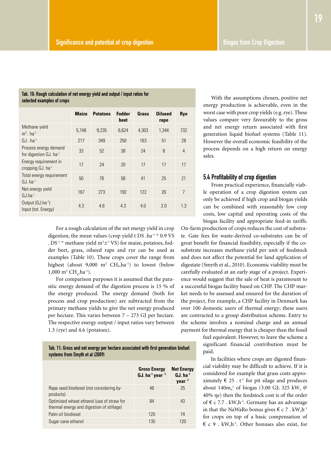Tab. 10: Rough calculation of net energy yield and output / input ratios for

selected examples of crops

|                                                             | <b>Maize</b> | <b>Potatoes</b> | <b>Fodder</b><br>beet | <b>Grass</b> | <b>Oilseed</b><br>rape | Rye            |
|-------------------------------------------------------------|--------------|-----------------|-----------------------|--------------|------------------------|----------------|
| Methane yield<br>$m3$ . ha <sup>-1</sup>                    | 5,748        | 9,235           | 6,624                 | 4,303        | 1,344                  | 732            |
| $GJ$ . ha $^{-1}$                                           | 217          | 349             | 250                   | 163          | 51                     | 28             |
| Process energy demand<br>for digestion GJ. ha <sup>-1</sup> | 33           | 52              | 38                    | 24           | 8                      | $\overline{4}$ |
| Energy requirement in<br>cropping GJ. ha <sup>-1</sup>      | 17           | 24              | 20                    | 17           | 17                     | 17             |
| Total energy requirement<br>$GJ.$ ha $^{-1}$                | 50           | 76              | 58                    | 41           | 25                     | 21             |
| Net energy yield<br>$GJ.ha^{-1}$                            | 167          | 273             | 192                   | 122          | 26                     | $\overline{7}$ |
| Output (GJ.ha <sup>-1</sup> )<br>Input (tot. Energy)        | 4.3          | 4.6             | 4.3                   | 4.0          | 2.0                    | 1.3            |

For a rough calculation of the net energy yield in crop digestion, the mean values (crop yield t DS .ha<sup>-1  $*$ </sup> 0.9 VS .  $DS^{-1}$  \* methane yield m<sup>3</sup>.t<sup>-1</sup> VS) for maize, potatoes, fodder beet, grass, oilseed rape and rye can be used as examples (Table 10). These crops cover the range from highest (about  $9,000 \text{ m}^3$  CH<sub>4</sub>.ha<sup>-1</sup>) to lowest (below  $1,000 \text{ m}^3 \text{ CH}_4 \text{·ha}^{-1}$ ).

For comparison purposes it is assumed that the parasitic energy demand of the digestion process is 15 % of the energy produced. The energy demand (both for process and crop production) are subtracted from the primary methane yields to give the net energy produced per hectare. This varies between 7 – 273 GJ per hectare. The respective energy output / input ratios vary between 1.3 (rye) and 4.6 (potatoes).

Tab. 11: Gross and net energy per hectare associated with first generation biofuel systems from Smyth et al (2009)

|                                                                                        | <b>Gross Energy</b><br>GJ. ha $-1$ year $-1$ | <b>Net Energy</b><br>$GJ.$ ha $^{-1}$<br>year <sup>-1</sup> |
|----------------------------------------------------------------------------------------|----------------------------------------------|-------------------------------------------------------------|
| Rape seed biodiesel (not considering by-<br>products)                                  | 46                                           | 25                                                          |
| Optimised wheat ethanol (use of straw for<br>thermal energy and digestion of stillage) | 84                                           | 43                                                          |
| Palm oil biodiesel                                                                     | 120                                          | 74                                                          |
| Sugar cane ethanol                                                                     | 135                                          | 120                                                         |

With the assumptions chosen, positive net energy production is achievable, even in the worst case with poor crop yields (e.g. rye). These values compare very favourably to the gross and net energy return associated with first generation liquid biofuel systems (Table 11). However the overall economic feasibility of the process depends on a high return on energy sales.

#### 5.4 Profitability of crop digestion

From practical experience, financially viable operation of a crop digestion system can only be achieved if high crop and biogas yields can be combined with reasonably low crop costs, low capital and operating costs of the biogas facility and appropriate feed-in tariffs.

On-farm production of crops reduces the cost of substrate. Gate fees for waste-derived co-substrates can be of great benefit for financial feasibility, especially if the cosubstrate increases methane yield per unit of feedstock and does not affect the potential for land application of digestate (Smyth et al., 2010). Economic viability must be carefully evaluated at an early stage of a project. Experience would suggest that the sale of heat is paramount to a successful biogas facility based on CHP. The CHP market needs to be assessed and ensured for the duration of the project. For example, a CHP facility in Denmark has over 100 domestic users of thermal energy; these users are contracted to a group distribution scheme. Entry to the scheme involves a nominal charge and an annual payment for thermal energy that is cheaper than the fossil

> fuel equivalent. However, to leave the scheme a significant financial contribution must be paid.

In facilities where crops are digested financial viability may be difficult to achieve. If it is considered for example that grass costs approximately  $\epsilon$  25 .  $t^1$  for pit silage and produces about  $140m<sub>n</sub><sup>3</sup>$  of biogas (3.00 GJ; 325 kW<sub>e</sub> @ 40% ηe) then the feedstock cost is of the order of € c 7.7 . kW<sub>c</sub>h<sup>-1</sup>. Germany has an advantage in that the NaWaRo bonus gives  $\epsilon$  c 7 . kW<sub>c</sub>h<sup>-1</sup> for crops on top of a basic compensation of  $\epsilon$  c 9 . kW<sub>e</sub>h<sup>-1</sup>. Other bonuses also exist, for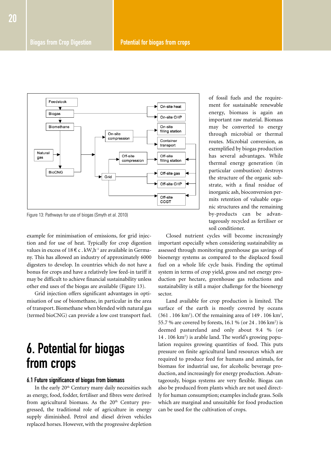

Figure 13: Pathways for use of biogas (Smyth et al. 2010)

example for minimisation of emissions, for grid injection and for use of heat. Typically for crop digestion values in excess of 18  $\epsilon$  c . kW<sub>e</sub>h<sup>-1</sup> are available in Germany. This has allowed an industry of approximately 6000 digesters to develop. In countries which do not have a bonus for crops and have a relatively low feed-in tariff it may be difficult to achieve financial sustainability unless other end uses of the biogas are available (Figure 13).

Grid injection offers significant advantages in optimisation of use of biomethane, in particular in the area of transport. Biomethane when blended with natural gas (termed bioCNG) can provide a low cost transport fuel.

### 6. Potential for biogas from crops

#### 6.1 Future significance of biogas from biomass

In the early 20<sup>th</sup> Century many daily necessities such as energy, food, fodder, fertiliser and fibres were derived from agricultural biomass. As the  $20<sup>th</sup>$  Century progressed, the traditional role of agriculture in energy supply diminished. Petrol and diesel driven vehicles replaced horses. However, with the progressive depletion

of fossil fuels and the requirement for sustainable renewable energy, biomass is again an important raw material. Biomass may be converted to energy through microbial or thermal routes. Microbial conversion, as exemplified by biogas production has several advantages. While thermal energy generation (in particular combustion) destroys the structure of the organic substrate, with a final residue of inorganic ash, bioconversion permits retention of valuable organic structures and the remaining by-products can be advantageously recycled as fertiliser or soil conditioner.

Closed nutrient cycles will become increasingly important especially when considering sustainability as assessed through monitoring greenhouse gas savings of bioenergy systems as compared to the displaced fossil fuel on a whole life cycle basis. Finding the optimal system in terms of crop yield, gross and net energy production per hectare, greenhouse gas reductions and sustainability is still a major challenge for the bioenergy sector.

Land available for crop production is limited. The surface of the earth is mostly covered by oceans  $(361.106 \text{ km}^2)$ . Of the remaining area of 149.106 km<sup>2</sup>, 55.7 % are covered by forests, 16.1 % (or 24 . 106 km<sup>2</sup>) is deemed pastureland and only about 9.4 % (or 14 . 106 km2 ) is arable land. The world's growing population requires growing quantities of food. This puts pressure on finite agricultural land resources which are required to produce feed for humans and animals, for biomass for industrial use, for alcoholic beverage production, and increasingly for energy production. Advantageously, biogas systems are very flexible. Biogas can also be produced from plants which are not used directly for human consumption; examples include grass. Soils which are marginal and unsuitable for food production can be used for the cultivation of crops.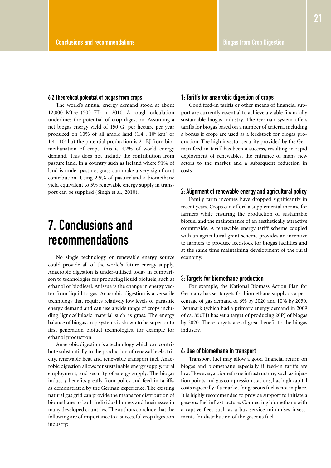#### 6.2 Theoretical potential of biogas from crops

The world's annual energy demand stood at about 12,000 Mtoe (503 EJ) in 2010. A rough calculation underlines the potential of crop digestion. Assuming a net biogas energy yield of 150 GJ per hectare per year produced on 10% of all arable land (1.4 . 10<sup>6</sup> km<sup>2</sup> or 1.4 . 108 ha) the potential production is 21 EJ from biomethanation of crops; this is 4.2% of world energy demand. This does not include the contribution from pasture land. In a country such as Ireland where 91% of land is under pasture, grass can make a very significant contribution. Using 2.5% of pastureland a biomethane yield equivalent to 5% renewable energy supply in transport can be supplied (Singh et al., 2010).

### 7. Conclusions and recommendations

No single technology or renewable energy source could provide all of the world's future energy supply. Anaerobic digestion is under-utilised today in comparison to technologies for producing liquid biofuels, such as ethanol or biodiesel. At issue is the change in energy vector from liquid to gas. Anaerobic digestion is a versatile technology that requires relatively low levels of parasitic energy demand and can use a wide range of crops including lignocellulosic material such as grass. The energy balance of biogas crop systems is shown to be superior to first generation biofuel technologies, for example for ethanol production.

Anaerobic digestion is a technology which can contribute substantially to the production of renewable electricity, renewable heat and renewable transport fuel. Anaerobic digestion allows for sustainable energy supply, rural employment, and security of energy supply. The biogas industry benefits greatly from policy and feed-in tariffs, as demonstrated by the German experience. The existing natural gas grid can provide the means for distribution of biomethane to both individual homes and businesses in many developed countries. The authors conclude that the following are of importance to a successful crop digestion industry:

#### 1: Tariffs for anaerobic digestion of crops

Good feed-in tariffs or other means of financial support are currently essential to achieve a viable financially sustainable biogas industry. The German system offers tariffs for biogas based on a number of criteria, including a bonus if crops are used as a feedstock for biogas production. The high investor security provided by the German feed-in-tariff has been a success, resulting in rapid deployment of renewables, the entrance of many new actors to the market and a subsequent reduction in costs.

#### 2: Alignment of renewable energy and agricultural policy

Family farm incomes have dropped significantly in recent years. Crops can afford a supplemental income for farmers while ensuring the production of sustainable biofuel and the maintenance of an aesthetically attractive countryside. A renewable energy tariff scheme coupled with an agricultural grant scheme provides an incentive to farmers to produce feedstock for biogas facilities and at the same time maintaining development of the rural economy.

#### 3: Targets for biomethane production

For example, the National Biomass Action Plan for Germany has set targets for biomethane supply as a percentage of gas demand of 6% by 2020 and 10% by 2030. Denmark (which had a primary energy demand in 2009 of ca. 850PJ) has set a target of producing 20PJ of biogas by 2020. These targets are of great benefit to the biogas industry.

#### 4: Use of biomethane in transport

Transport fuel may allow a good financial return on biogas and biomethane especially if feed-in tariffs are low. However, a biomethane infrastructure, such as injection points and gas compression stations, has high capital costs especially if a market for gaseous fuel is not in place. It is highly recommended to provide support to initiate a gaseous fuel infrastructure. Connecting biomethane with a captive fleet such as a bus service minimises investments for distribution of the gaseous fuel.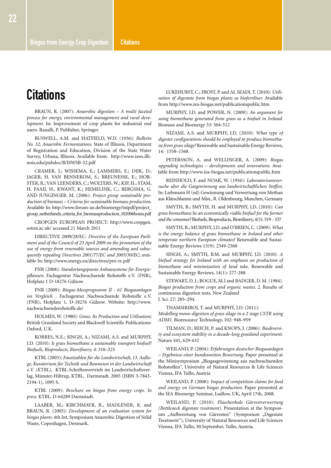### **Citations**

BRAUN, R. (2007): *Anaerobic digestion - A multi faceted process for energy, environmental management and rural development.* In: Improvement of crop plants for industrial end users. Ranalli, P. Publisher, Springer.

Buswell, A.M. and Hatfield, W.D. (1936): *Bulletin No. 32, Anaerobic Fermentations.* State of Illinois, Department of Registration and Education, Division of the State Water Survey, Urbana, Illinois. Available from: http://www.isws.illinois.edu/pubdoc/B/ISWSB-32.pdf

Cramer, J.; Wissema, E.; Lammers, E.; Dijk, D.; Jager, H. van Bennekom, S.; Breunesse, E.; Horster, R.; van Leenders, C.; Wolters, W.; Kip, H.; Stam, H. Faaij, H., Kwant, K.; Hemelink, C.; Bergsma, G. AND JUNGINGER. M. (2006): Project group sustainable pro*duction of biomass – Criteria for sustainable biomass production.*  Available In: http://www.forum-ue.de/bioenergy/txtpdf/project\_ group\_netherlands\_criteria\_for\_biomassproduction\_102006bonn.pdf

CropGen European project: http://www.cropgen. soton.ac.uk/ accessed 21 March 2011

DIRECTIVE 2009/28/EC: Directive of the European Parli*ment and of the Council of 23 April 2009 on the promotion of the use of energy from renewable sources and amending and subsequently repealing Directives 2001/77/EC and 2003/30/EC*; available In: http://www.energy.eu/directives/pro-re.pdf

FNR (2008): *Standortangepasste Anbausysteme für Energiepflanzen.* Fachagentur Nachwachsende Rohstoffe e.V. (FNR), Hofplatz 1 D-18276 Gülzow

FNR (2009): *Biogas-Messprogramm II - 61 Biogasanlagen im Vergleich .* Fachagentur Nachwachsende Rohstoffe e.V. (FNR), Hofplatz 1, D-18276 Gülzow. Website: http://www. nachwachsenderohstoffe.de/

Holmes, W. (1980): *Grass: Its Production and Utilisation;* British Grassland Society and Blackwell Scientific Publications: Oxford, U.K.

Korres, N.E.; Singh, A.; Nizami, A.S. and Murphy, J.D. (2010): *Is grass biomethane a sustainable transport biofuel? Biofuels, Bioproducts, Biorefinery, 4:* 310–325

KTBL (2005): *Faustzahlen für die Landwirtschaft, 13. Auflage, Kuratorium für Technik und Bauwesen in der Landwirtschaft e.V. (KTBL),* KTBL-Schriftenvertrieb im Landwirtschaftsverlag, Münster-Hiltrup, KTBL, Darmstadt, 2005 (ISBN 3-7843- 2194-1), 1095 S.

KTBL (2009): *Brochure on biogas from energy crops. In press.* KTBL, D-64289 Darmstadt.

LAABER, M.; KIRCHMAYR, R., MADLENER, R. and BRAUN, R. (2005): *Development of an evaluation system for biogas plants.* 4th Int. Symposium Anaerobic Digestion of Solid Waste, Copenhagen, Denmark.

Lukehurst, C.; Frost, P. and Al Seadi, T. (2010): *Utilisation of digestate from biogas plants as biofertiliser.* Available from http://www.iea-biogas.net/publicationspublic.htm

Murphy, J.D. and Power, N. (2009): *An argument for using biomethane generated from grass as a biofuel in Ireland.*  Biomass and Bioenergy 33: 504-512

Nizami, A.S. and Murphy, J.D. (2010): *What type of digester configurations should be employed to produce biomethane from grass silage?* Renewable and Sustainable Energy Reviews, 14: 1558–1568.

Petersson, A. and Wellinger, A. (2009): *Biogas upgrading technologies – developments and innovations.* Available from http://www.iea-biogas.net/publicationspublic.htm

Reinhold, F. and Noak, W. (1956): *Laboratoriumsversuche uber die Gasgewinnung aus landwirtschaftlichen Stoffen.*  In: Liebmann H (ed) Gewinnung und Verwertung von Methan aus Klärschlamm und Mist., R. Oldenbourg, Munchen, Germany

Smyth, B.; Smyth, H. and Murphy, J.D. (2010): *Can grass biomethane be an economically viable biofuel for the farmer and the consumer?* Biofuels, Bioproducts, Biorefinery, 4(5): 519 - 537

Smyth, B.; Murphy, J.D. and O'Brien, C. (2009): *What is the energy balance of grass biomethane in Ireland and other temperate northern European climates?* Renewable and Sustainable Energy Reviews 13(9): 2349-2360

Singh, A.; Smyth, B.M. and Murphy, J.D. (2010): *A biofuel strategy for Ireland with an emphasis on production of biomethane and minimization of land take.* Renewable and Sustainable Energy Reviews, 14(1): 277-288.

STEWART, D. J.; BOGUE, M.J and BADGER, D. M. (1984). *Biogas production from crops and organic wastes.* 2. Results of continuous digestion tests. New Zealand J. Sci. 27: 285–294.

THAMSIRIROJ, T. and MURPHY, J.D. (2011): *Modelling mono-digestion of grass silage in a 2 stage CSTR using ADM1.* Bioresource Technology, 102: 948–959

Tilman, D.; Reich, P. and Knops, J. (2006): *Biodiversity and ecosystem stability in a decade-long grassland experiment.* Nature 441, 629-632

Weiland, P. (2004): *Erfahrungen deutscher Biogasanlagen – Ergebnisse einer bundesweiten Bewertung.* Paper presented at the Minisymposium "Biogasgewinnung aus nachwachsenden Rohstoffen", University of Natural Resources & Life Sciences Vienna, IFA Tulln, Austria

Weiland, P. (2008): *Impact of competition claims for food and energy on German biogas production.* Paper presented at the IEA Bioenergy Seminar, Ludlow, UK, April 17th, 2008.

Weiland, P. (2010): *Flaschenhals Gärrestverwertung (Bottleneck digestate treatment).* Presentation at the Symposium "Aufbereitung von Gärresten" (Symposium "Digestate Treatment"), University of Natural Resources and Life Sciences Vienna, IFA Tulln, 30.September, Tulln, Austria.